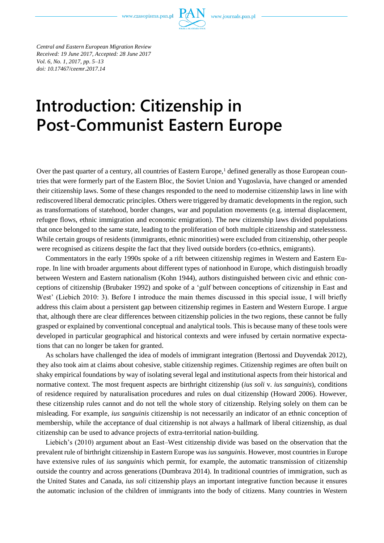www.czasopisma.pan.pl



*Central and Eastern European Migration Review Received: 19 June 2017, Accepted: 28 June 2017 Vol. 6, No. 1, 2017, pp. 5–13 doi: 10.17467/ceemr.2017.14*

# **Introduction: Citizenship in Post-Communist Eastern Europe**

Over the past quarter of a century, all countries of Eastern Europe,<sup>1</sup> defined generally as those European countries that were formerly part of the Eastern Bloc, the Soviet Union and Yugoslavia, have changed or amended their citizenship laws. Some of these changes responded to the need to modernise citizenship laws in line with rediscovered liberal democratic principles. Others were triggered by dramatic developments in the region, such as transformations of statehood, border changes, war and population movements (e.g. internal displacement, refugee flows, ethnic immigration and economic emigration). The new citizenship laws divided populations that once belonged to the same state, leading to the proliferation of both multiple citizenship and statelessness. While certain groups of residents (immigrants, ethnic minorities) were excluded from citizenship, other people were recognised as citizens despite the fact that they lived outside borders (co-ethnics, emigrants).

Commentators in the early 1990s spoke of a rift between citizenship regimes in Western and Eastern Europe. In line with broader arguments about different types of nationhood in Europe, which distinguish broadly between Western and Eastern nationalism (Kohn 1944), authors distinguished between civic and ethnic conceptions of citizenship (Brubaker 1992) and spoke of a 'gulf between conceptions of citizenship in East and West' (Liebich 2010: 3). Before I introduce the main themes discussed in this special issue, I will briefly address this claim about a persistent gap between citizenship regimes in Eastern and Western Europe. I argue that, although there are clear differences between citizenship policies in the two regions, these cannot be fully grasped or explained by conventional conceptual and analytical tools. This is because many of these tools were developed in particular geographical and historical contexts and were infused by certain normative expectations that can no longer be taken for granted.

As scholars have challenged the idea of models of immigrant integration (Bertossi and Duyvendak 2012), they also took aim at claims about cohesive, stable citizenship regimes. Citizenship regimes are often built on shaky empirical foundations by way of isolating several legal and institutional aspects from their historical and normative context. The most frequent aspects are birthright citizenship (*ius soli* v. *ius sanguinis*), conditions of residence required by naturalisation procedures and rules on dual citizenship (Howard 2006). However, these citizenship rules cannot and do not tell the whole story of citizenship. Relying solely on them can be misleading. For example, *ius sanguinis* citizenship is not necessarily an indicator of an ethnic conception of membership, while the acceptance of dual citizenship is not always a hallmark of liberal citizenship, as dual citizenship can be used to advance projects of extra-territorial nation-building.

Liebich's (2010) argument about an East–West citizenship divide was based on the observation that the prevalent rule of birthright citizenship in Eastern Europe was *ius sanguinis*. However, most countries in Europe have extensive rules of *ius sanguinis* which permit, for example, the automatic transmission of citizenship outside the country and across generations (Dumbrava 2014). In traditional countries of immigration, such as the United States and Canada, *ius soli* citizenship plays an important integrative function because it ensures the automatic inclusion of the children of immigrants into the body of citizens. Many countries in Western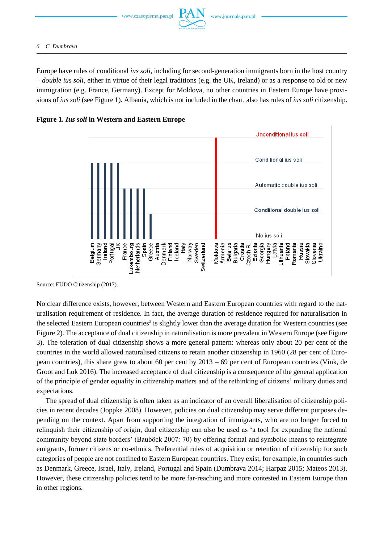www.czasopisma.pan.pl

Europe have rules of conditional *ius soli,* including for second-generation immigrants born in the host country – *double ius soli*, either in virtue of their legal traditions (e.g. the UK, Ireland) or as a response to old or new immigration (e.g. France, Germany). Except for Moldova, no other countries in Eastern Europe have provisions of *ius soli* (see Figure 1). Albania, which is not included in the chart, also has rules of *ius soli* citizenship.

# **Figure 1.** *Ius soli* **in Western and Eastern Europe**



Source: EUDO Citizenship (2017).

No clear difference exists, however, between Western and Eastern European countries with regard to the naturalisation requirement of residence. In fact, the average duration of residence required for naturalisation in the selected Eastern European countries<sup>2</sup> is slightly lower than the average duration for Western countries (see Figure 2). The acceptance of dual citizenship in naturalisation is more prevalent in Western Europe (see Figure 3). The toleration of dual citizenship shows a more general pattern: whereas only about 20 per cent of the countries in the world allowed naturalised citizens to retain another citizenship in 1960 (28 per cent of European countries), this share grew to about 60 per cent by 2013 – 69 per cent of European countries (Vink, de Groot and Luk 2016). The increased acceptance of dual citizenship is a consequence of the general application of the principle of gender equality in citizenship matters and of the rethinking of citizens' military duties and expectations.

The spread of dual citizenship is often taken as an indicator of an overall liberalisation of citizenship policies in recent decades (Joppke 2008). However, policies on dual citizenship may serve different purposes depending on the context. Apart from supporting the integration of immigrants, who are no longer forced to relinquish their citizenship of origin, dual citizenship can also be used as 'a tool for expanding the national community beyond state borders' (Bauböck 2007: 70) by offering formal and symbolic means to reintegrate emigrants, former citizens or co-ethnics. Preferential rules of acquisition or retention of citizenship for such categories of people are not confined to Eastern European countries. They exist, for example, in countries such as Denmark, Greece, Israel, Italy, Ireland, Portugal and Spain (Dumbrava 2014; Harpaz 2015; Mateos 2013). However, these citizenship policies tend to be more far-reaching and more contested in Eastern Europe than in other regions.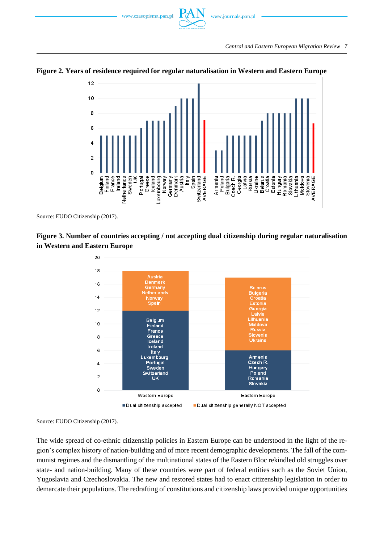



# **Figure 2. Years of residence required for regular naturalisation in Western and Eastern Europe**

Source: EUDO Citizenship (2017).

# **Figure 3. Number of countries accepting / not accepting dual citizenship during regular naturalisation in Western and Eastern Europe**



Source: EUDO Citizenship (2017).

The wide spread of co-ethnic citizenship policies in Eastern Europe can be understood in the light of the region's complex history of nation-building and of more recent demographic developments. The fall of the communist regimes and the dismantling of the multinational states of the Eastern Bloc rekindled old struggles over state- and nation-building. Many of these countries were part of federal entities such as the Soviet Union, Yugoslavia and Czechoslovakia. The new and restored states had to enact citizenship legislation in order to demarcate their populations. The redrafting of constitutions and citizenship laws provided unique opportunities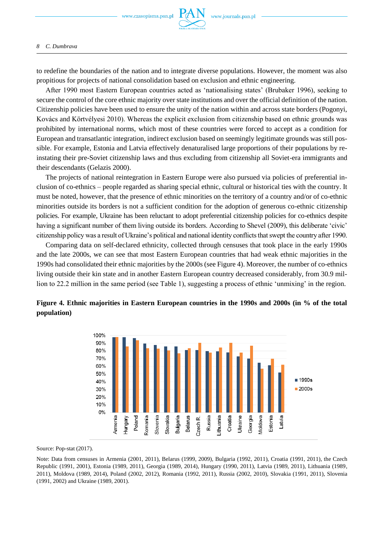

#### *8 C. Dumbrava*

to redefine the boundaries of the nation and to integrate diverse populations. However, the moment was also propitious for projects of national consolidation based on exclusion and ethnic engineering.

After 1990 most Eastern European countries acted as 'nationalising states' (Brubaker 1996), seeking to secure the control of the core ethnic majority over state institutions and over the official definition of the nation. Citizenship policies have been used to ensure the unity of the nation within and across state borders (Pogonyi, Kovács and Körtvélyesi 2010). Whereas the explicit exclusion from citizenship based on ethnic grounds was prohibited by international norms, which most of these countries were forced to accept as a condition for European and transatlantic integration, indirect exclusion based on seemingly legitimate grounds was still possible. For example, Estonia and Latvia effectively denaturalised large proportions of their populations by reinstating their pre-Soviet citizenship laws and thus excluding from citizenship all Soviet-era immigrants and their descendants (Gelazis 2000).

The projects of national reintegration in Eastern Europe were also pursued via policies of preferential inclusion of co-ethnics – people regarded as sharing special ethnic, cultural or historical ties with the country. It must be noted, however, that the presence of ethnic minorities on the territory of a country and/or of co-ethnic minorities outside its borders is not a sufficient condition for the adoption of generous co-ethnic citizenship policies. For example, Ukraine has been reluctant to adopt preferential citizenship policies for co-ethnics despite having a significant number of them living outside its borders. According to Shevel (2009), this deliberate 'civic' citizenship policy was a result of Ukraine's political and national identity conflicts that swept the country after 1990.

Comparing data on self-declared ethnicity, collected through censuses that took place in the early 1990s and the late 2000s, we can see that most Eastern European countries that had weak ethnic majorities in the 1990s had consolidated their ethnic majorities by the 2000s (see Figure 4). Moreover, the number of co-ethnics living outside their kin state and in another Eastern European country decreased considerably, from 30.9 million to 22.2 million in the same period (see Table 1), suggesting a process of ethnic 'unmixing' in the region.



**Figure 4. Ethnic majorities in Eastern European countries in the 1990s and 2000s (in % of the total population)**

Source: Pop-stat (2017).

Note: Data from censuses in Armenia (2001, 2011), Belarus (1999, 2009), Bulgaria (1992, 2011), Croatia (1991, 2011), the Czech Republic (1991, 2001), Estonia (1989, 2011), Georgia (1989, 2014), Hungary (1990, 2011), Latvia (1989, 2011), Lithuania (1989, 2011), Moldova (1989, 2014), Poland (2002, 2012), Romania (1992, 2011), Russia (2002, 2010), Slovakia (1991, 2011), Slovenia (1991, 2002) and Ukraine (1989, 2001).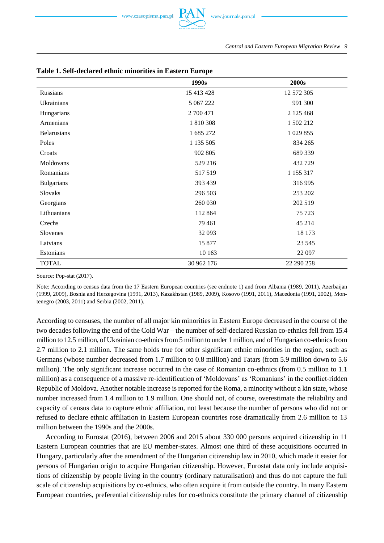

|                    | 1990s      | 2000s      |
|--------------------|------------|------------|
| Russians           | 15 413 428 | 12 572 305 |
| Ukrainians         | 5 067 222  | 991 300    |
| Hungarians         | 2 700 471  | 2 125 468  |
| Armenians          | 1810308    | 1 502 212  |
| <b>Belarusians</b> | 1 685 272  | 1 029 855  |
| Poles              | 1 135 505  | 834 265    |
| Croats             | 902 805    | 689 339    |
| Moldovans          | 529 216    | 432 729    |
| Romanians          | 517519     | 1 155 317  |
| <b>Bulgarians</b>  | 393 439    | 316 995    |
| Slovaks            | 296 503    | 253 202    |
| Georgians          | 260 030    | 202 519    |
| Lithuanians        | 112 864    | 75 723     |
| Czechs             | 79 461     | 45 214     |
| Slovenes           | 32 093     | 18 173     |
| Latvians           | 15 877     | 23 5 45    |
| Estonians          | 10 163     | 22 097     |
| <b>TOTAL</b>       | 30 962 176 | 22 290 258 |

## **Table 1. Self-declared ethnic minorities in Eastern Europe**

Source: Pop-stat (2017).

Note: According to census data from the 17 Eastern European countries (see endnote 1) and from Albania (1989, 2011), Azerbaijan (1999, 2009), Bosnia and Herzegovina (1991, 2013), Kazakhstan (1989, 2009), Kosovo (1991, 2011), Macedonia (1991, 2002), Montenegro (2003, 2011) and Serbia (2002, 2011).

According to censuses, the number of all major kin minorities in Eastern Europe decreased in the course of the two decades following the end of the Cold War – the number of self-declared Russian co-ethnics fell from 15.4 million to 12.5 million, of Ukrainian co-ethnics from 5 million to under 1 million, and of Hungarian co-ethnicsfrom 2.7 million to 2.1 million. The same holds true for other significant ethnic minorities in the region, such as Germans (whose number decreased from 1.7 million to 0.8 million) and Tatars (from 5.9 million down to 5.6 million). The only significant increase occurred in the case of Romanian co-ethnics (from 0.5 million to 1.1 million) as a consequence of a massive re-identification of 'Moldovans' as 'Romanians' in the conflict-ridden Republic of Moldova. Another notable increase is reported for the Roma, a minority without a kin state, whose number increased from 1.4 million to 1.9 million. One should not, of course, overestimate the reliability and capacity of census data to capture ethnic affiliation, not least because the number of persons who did not or refused to declare ethnic affiliation in Eastern European countries rose dramatically from 2.6 million to 13 million between the 1990s and the 2000s.

According to Eurostat (2016), between 2006 and 2015 about 330 000 persons acquired citizenship in 11 Eastern European countries that are EU member-states. Almost one third of these acquisitions occurred in Hungary, particularly after the amendment of the Hungarian citizenship law in 2010, which made it easier for persons of Hungarian origin to acquire Hungarian citizenship. However, Eurostat data only include acquisitions of citizenship by people living in the country (ordinary naturalisation) and thus do not capture the full scale of citizenship acquisitions by co-ethnics, who often acquire it from outside the country. In many Eastern European countries, preferential citizenship rules for co-ethnics constitute the primary channel of citizenship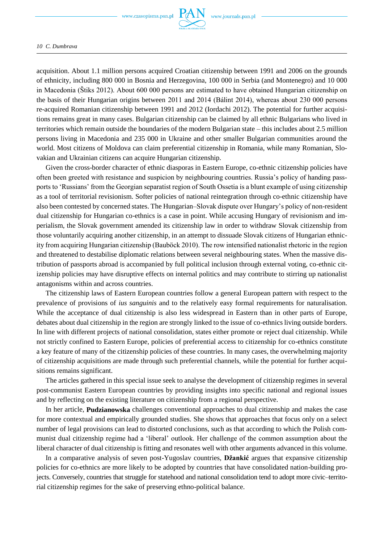www.czasopisma.pan.pl



### *10 C. Dumbrava*

acquisition. About 1.1 million persons acquired Croatian citizenship between 1991 and 2006 on the grounds of ethnicity, including 800 000 in Bosnia and Herzegovina, 100 000 in Serbia (and Montenegro) and 10 000 in Macedonia (Štiks 2012). About 600 000 persons are estimated to have obtained Hungarian citizenship on the basis of their Hungarian origins between 2011 and 2014 (Bálint 2014), whereas about 230 000 persons re-acquired Romanian citizenship between 1991 and 2012 (Iordachi 2012). The potential for further acquisitions remains great in many cases. Bulgarian citizenship can be claimed by all ethnic Bulgarians who lived in territories which remain outside the boundaries of the modern Bulgarian state – this includes about 2.5 million persons living in Macedonia and 235 000 in Ukraine and other smaller Bulgarian communities around the world. Most citizens of Moldova can claim preferential citizenship in Romania, while many Romanian, Slovakian and Ukrainian citizens can acquire Hungarian citizenship.

Given the cross-border character of ethnic diasporas in Eastern Europe, co-ethnic citizenship policies have often been greeted with resistance and suspicion by neighbouring countries. Russia's policy of handing passports to 'Russians' from the Georgian separatist region of South Ossetia is a blunt example of using citizenship as a tool of territorial revisionism. Softer policies of national reintegration through co-ethnic citizenship have also been contested by concerned states. The Hungarian–Slovak dispute over Hungary's policy of non-resident dual citizenship for Hungarian co-ethnics is a case in point. While accusing Hungary of revisionism and imperialism, the Slovak government amended its citizenship law in order to withdraw Slovak citizenship from those voluntarily acquiring another citizenship, in an attempt to dissuade Slovak citizens of Hungarian ethnicity from acquiring Hungarian citizenship (Bauböck 2010). The row intensified nationalist rhetoric in the region and threatened to destabilise diplomatic relations between several neighbouring states. When the massive distribution of passports abroad is accompanied by full political inclusion through external voting, co-ethnic citizenship policies may have disruptive effects on internal politics and may contribute to stirring up nationalist antagonisms within and across countries.

The citizenship laws of Eastern European countries follow a general European pattern with respect to the prevalence of provisions of *ius sanguinis* and to the relatively easy formal requirements for naturalisation. While the acceptance of dual citizenship is also less widespread in Eastern than in other parts of Europe, debates about dual citizenship in the region are strongly linked to the issue of co-ethnics living outside borders. In line with different projects of national consolidation, states either promote or reject dual citizenship. While not strictly confined to Eastern Europe, policies of preferential access to citizenship for co-ethnics constitute a key feature of many of the citizenship policies of these countries. In many cases, the overwhelming majority of citizenship acquisitions are made through such preferential channels, while the potential for further acquisitions remains significant.

The articles gathered in this special issue seek to analyse the development of citizenship regimes in several post-communist Eastern European countries by providing insights into specific national and regional issues and by reflecting on the existing literature on citizenship from a regional perspective.

In her article, **Pudzianowska** challenges conventional approaches to dual citizenship and makes the case for more contextual and empirically grounded studies. She shows that approaches that focus only on a select number of legal provisions can lead to distorted conclusions, such as that according to which the Polish communist dual citizenship regime had a 'liberal' outlook. Her challenge of the common assumption about the liberal character of dual citizenship is fitting and resonates well with other arguments advanced in this volume.

In a comparative analysis of seven post-Yugoslav countries, **Džankić** argues that expansive citizenship policies for co-ethnics are more likely to be adopted by countries that have consolidated nation-building projects. Conversely, countries that struggle for statehood and national consolidation tend to adopt more civic–territorial citizenship regimes for the sake of preserving ethno-political balance.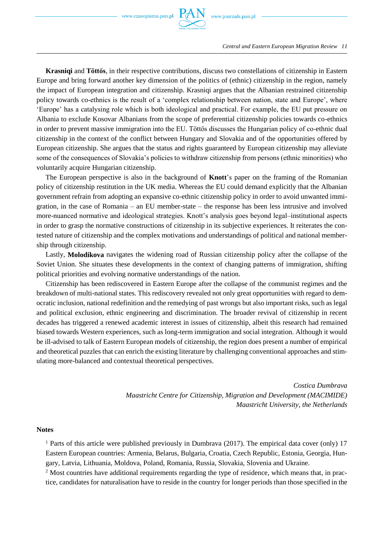

**Krasniqi** and **Töttős**, in their respective contributions, discuss two constellations of citizenship in Eastern Europe and bring forward another key dimension of the politics of (ethnic) citizenship in the region, namely the impact of European integration and citizenship. Krasniqi argues that the Albanian restrained citizenship policy towards co-ethnics is the result of a 'complex relationship between nation, state and Europe', where 'Europe' has a catalysing role which is both ideological and practical. For example, the EU put pressure on Albania to exclude Kosovar Albanians from the scope of preferential citizenship policies towards co-ethnics in order to prevent massive immigration into the EU. Töttős discusses the Hungarian policy of co-ethnic dual citizenship in the context of the conflict between Hungary and Slovakia and of the opportunities offered by European citizenship. She argues that the status and rights guaranteed by European citizenship may alleviate some of the consequences of Slovakia's policies to withdraw citizenship from persons (ethnic minorities) who voluntarily acquire Hungarian citizenship.

The European perspective is also in the background of **Knott**'s paper on the framing of the Romanian policy of citizenship restitution in the UK media. Whereas the EU could demand explicitly that the Albanian government refrain from adopting an expansive co-ethnic citizenship policy in order to avoid unwanted immigration, in the case of Romania – an EU member-state – the response has been less intrusive and involved more-nuanced normative and ideological strategies. Knott's analysis goes beyond legal–institutional aspects in order to grasp the normative constructions of citizenship in its subjective experiences. It reiterates the contested nature of citizenship and the complex motivations and understandings of political and national membership through citizenship.

Lastly, **Molodikova** navigates the widening road of Russian citizenship policy after the collapse of the Soviet Union. She situates these developments in the context of changing patterns of immigration, shifting political priorities and evolving normative understandings of the nation.

Citizenship has been rediscovered in Eastern Europe after the collapse of the communist regimes and the breakdown of multi-national states. This rediscovery revealed not only great opportunities with regard to democratic inclusion, national redefinition and the remedying of past wrongs but also important risks, such as legal and political exclusion, ethnic engineering and discrimination. The broader revival of citizenship in recent decades has triggered a renewed academic interest in issues of citizenship, albeit this research had remained biased towards Western experiences, such as long-term immigration and social integration. Although it would be ill-advised to talk of Eastern European models of citizenship, the region does present a number of empirical and theoretical puzzles that can enrich the existing literature by challenging conventional approaches and stimulating more-balanced and contextual theoretical perspectives.

> *Costica Dumbrava Maastricht Centre for Citizenship, Migration and Development (MACIMIDE) Maastricht University, the Netherlands*

## **Notes**

<sup>1</sup> Parts of this article were published previously in Dumbrava (2017). The empirical data cover (only) 17 Eastern European countries: Armenia, Belarus, Bulgaria, Croatia, Czech Republic, Estonia, Georgia, Hungary, Latvia, Lithuania, Moldova, Poland, Romania, Russia, Slovakia, Slovenia and Ukraine.

<sup>2</sup> Most countries have additional requirements regarding the type of residence, which means that, in practice, candidates for naturalisation have to reside in the country for longer periods than those specified in the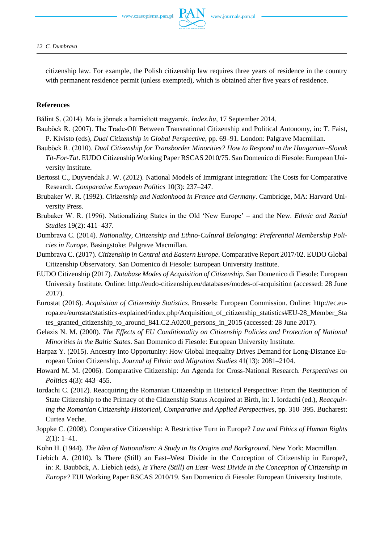

citizenship law. For example, the Polish citizenship law requires three years of residence in the country with permanent residence permit (unless exempted), which is obtained after five years of residence.

## **References**

Bálint S. (2014). Ma is jönnek a hamisított magyarok. *Index.hu*, 17 September 2014.

- Bauböck R. (2007). The Trade-Off Between Transnational Citizenship and Political Autonomy, in: T. Faist, P. Kivisto (eds), *Dual Citizenship in Global Perspective*, pp. 69–91. London: Palgrave Macmillan.
- Bauböck R. (2010). *Dual Citizenship for Transborder Minorities? How to Respond to the Hungarian–Slovak Tit-For-Tat*. EUDO Citizenship Working Paper RSCAS 2010/75. San Domenico di Fiesole: European University Institute.
- Bertossi C., Duyvendak J. W. (2012). National Models of Immigrant Integration: The Costs for Comparative Research. *Comparative European Politics* 10(3): 237–247.
- Brubaker W. R. (1992). *Citizenship and Nationhood in France and Germany*. Cambridge, MA: Harvard University Press.
- Brubaker W. R. (1996). Nationalizing States in the Old 'New Europe' and the New. *Ethnic and Racial Studies* 19(2): 411–437.
- Dumbrava C. (2014). *Nationality, Citizenship and Ethno-Cultural Belonging: Preferential Membership Policies in Europe*. Basingstoke: Palgrave Macmillan.
- Dumbrava C. (2017). *Citizenship in Central and Eastern Europe*. Comparative Report 2017/02. EUDO Global Citizenship Observatory. San Domenico di Fiesole: European University Institute.
- EUDO Citizenship (2017). *Database Modes of Acquisition of Citizenship*. San Domenico di Fiesole: European University Institute. Online: http://eudo-citizenship.eu/databases/modes-of-acquisition (accessed: 28 June 2017).
- Eurostat (2016). *Acquisition of Citizenship Statistics.* Brussels: European Commission. Online: http://ec.europa.eu/eurostat/statistics-explained/index.php/Acquisition\_of\_citizenship\_statistics#EU-28\_Member\_Sta tes\_granted\_citizenship\_to\_around\_841.C2.A0200\_persons\_in\_2015 (accessed: 28 June 2017).
- Gelazis N. M. (2000). *The Effects of EU Conditionality on Citizenship Policies and Protection of National Minorities in the Baltic States*. San Domenico di Fiesole: European University Institute.
- Harpaz Y. (2015). Ancestry Into Opportunity: How Global Inequality Drives Demand for Long-Distance European Union Citizenship*. Journal of Ethnic and Migration Studies* 41(13): 2081–2104.
- Howard M. M. (2006). Comparative Citizenship: An Agenda for Cross-National Research. *Perspectives on Politics* 4(3): 443–455.
- Iordachi C. (2012). Reacquiring the Romanian Citizenship in Historical Perspective: From the Restitution of State Citizenship to the Primacy of the Citizenship Status Acquired at Birth, in: I. Iordachi (ed.), *Reacquiring the Romanian Citizenship Historical, Comparative and Applied Perspectives*, pp. 310–395. Bucharest: Curtea Veche.
- Joppke C. (2008). Comparative Citizenship: A Restrictive Turn in Europe? *Law and Ethics of Human Rights*   $2(1): 1-41.$
- Kohn H. (1944). *The Idea of Nationalism: A Study in Its Origins and Background*. New York: Macmillan.
- Liebich A. (2010). Is There (Still) an East–West Divide in the Conception of Citizenship in Europe?, in: R. Bauböck, A. Liebich (eds), *Is There (Still) an East–West Divide in the Conception of Citizenship in Europe?* EUI Working Paper RSCAS 2010/19. San Domenico di Fiesole: European University Institute.